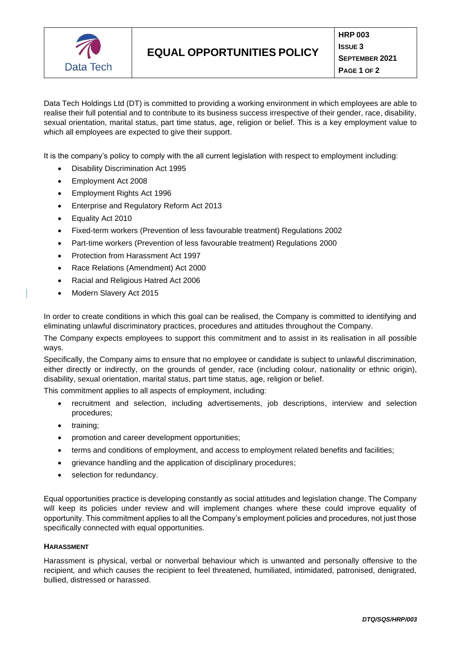

Data Tech Holdings Ltd (DT) is committed to providing a working environment in which employees are able to realise their full potential and to contribute to its business success irrespective of their gender, race, disability, sexual orientation, marital status, part time status, age, religion or belief. This is a key employment value to which all employees are expected to give their support.

It is the company's policy to comply with the all current legislation with respect to employment including:

- Disability Discrimination Act 1995
- Employment Act 2008
- Employment Rights Act 1996
- Enterprise and Regulatory Reform Act 2013
- Equality Act 2010
- Fixed-term workers (Prevention of less favourable treatment) Regulations 2002
- Part-time workers (Prevention of less favourable treatment) Regulations 2000
- Protection from Harassment Act 1997
- Race Relations (Amendment) Act 2000
- Racial and Religious Hatred Act 2006
- Modern Slavery Act 2015

In order to create conditions in which this goal can be realised, the Company is committed to identifying and eliminating unlawful discriminatory practices, procedures and attitudes throughout the Company.

The Company expects employees to support this commitment and to assist in its realisation in all possible ways.

Specifically, the Company aims to ensure that no employee or candidate is subject to unlawful discrimination, either directly or indirectly, on the grounds of gender, race (including colour, nationality or ethnic origin), disability, sexual orientation, marital status, part time status, age, religion or belief.

This commitment applies to all aspects of employment, including:

- recruitment and selection, including advertisements, job descriptions, interview and selection procedures;
- training;
- promotion and career development opportunities;
- terms and conditions of employment, and access to employment related benefits and facilities;
- grievance handling and the application of disciplinary procedures;
- selection for redundancy.

Equal opportunities practice is developing constantly as social attitudes and legislation change. The Company will keep its policies under review and will implement changes where these could improve equality of opportunity. This commitment applies to all the Company's employment policies and procedures, not just those specifically connected with equal opportunities.

## **HARASSMENT**

Harassment is physical, verbal or nonverbal behaviour which is unwanted and personally offensive to the recipient, and which causes the recipient to feel threatened, humiliated, intimidated, patronised, denigrated, bullied, distressed or harassed.